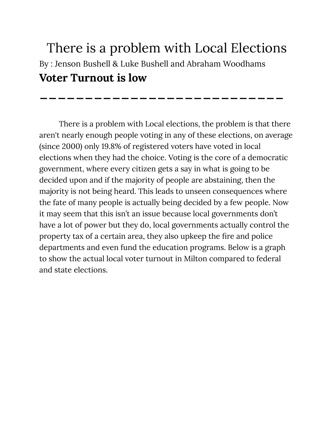## There is a problem with Local Elections By : Jenson Bushell & Luke Bushell and Abraham Woodhams **Voter Turnout is low**

**\_\_\_\_\_\_\_\_\_\_\_\_\_\_\_\_\_\_\_\_\_\_\_\_\_\_\_**

There is a problem with Local elections, the problem is that there aren't nearly enough people voting in any of these elections, on average (since 2000) only 19.8% of registered voters have voted in local elections when they had the choice. Voting is the core of a democratic government, where every citizen gets a say in what is going to be decided upon and if the majority of people are abstaining, then the majority is not being heard. This leads to unseen consequences where the fate of many people is actually being decided by a few people. Now it may seem that this isn't an issue because local governments don't have a lot of power but they do, local governments actually control the property tax of a certain area, they also upkeep the fire and police departments and even fund the education programs. Below is a graph to show the actual local voter turnout in Milton compared to federal and state elections.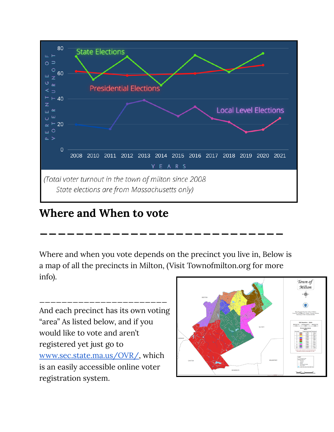

## **Where and When to vote**

Where and when you vote depends on the precinct you live in, Below is a map of all the precincts in Milton, (Visit Townofmilton.org for more info).

**\_\_\_\_\_\_\_\_\_\_\_\_\_\_\_\_\_\_\_\_\_\_\_\_\_\_\_**

And each precinct has its own voting "area" As listed below, and if you would like to vote and aren't registered yet just go to [www.sec.state.ma.us/OVR/,](http://www.sec.state.ma.us/OVR/) which is an easily accessible online voter registration system.

\_\_\_\_\_\_\_\_\_\_\_\_\_\_\_\_\_\_\_\_\_\_\_

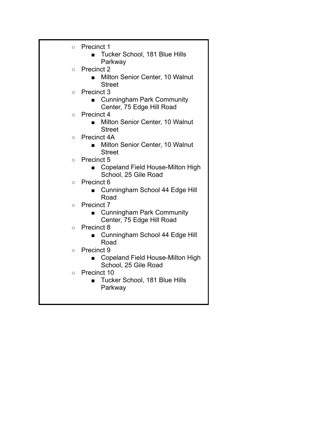|         | Precinct 1                       |
|---------|----------------------------------|
| $\circ$ |                                  |
|         | Tucker School, 181 Blue Hills    |
|         | Parkway                          |
| $\circ$ | Precinct 2                       |
|         | Milton Senior Center, 10 Walnut  |
|         | <b>Street</b>                    |
| $\circ$ | Precinct 3                       |
|         | <b>Cunningham Park Community</b> |
|         | Center, 75 Edge Hill Road        |
| $\circ$ | Precinct 4                       |
|         | Milton Senior Center, 10 Walnut  |
|         | <b>Street</b>                    |
| $\circ$ | Precinct 4A                      |
|         | Milton Senior Center, 10 Walnut  |
|         | <b>Street</b>                    |
| $\circ$ | Precinct 5                       |
|         | Copeland Field House-Milton High |
|         | School, 25 Gile Road             |
| $\circ$ | Precinct 6                       |
|         | Cunningham School 44 Edge Hill   |
|         | Road                             |
| $\circ$ | <b>Precinct 7</b>                |
|         | <b>Cunningham Park Community</b> |
|         | Center, 75 Edge Hill Road        |
| $\circ$ | Precinct 8                       |
|         | Cunningham School 44 Edge Hill   |
|         | Road                             |
| $\circ$ | Precinct 9                       |
|         | Copeland Field House-Milton High |
|         | School, 25 Gile Road             |
| $\circ$ | Precinct 10                      |
|         | Tucker School, 181 Blue Hills    |
|         | Parkway                          |